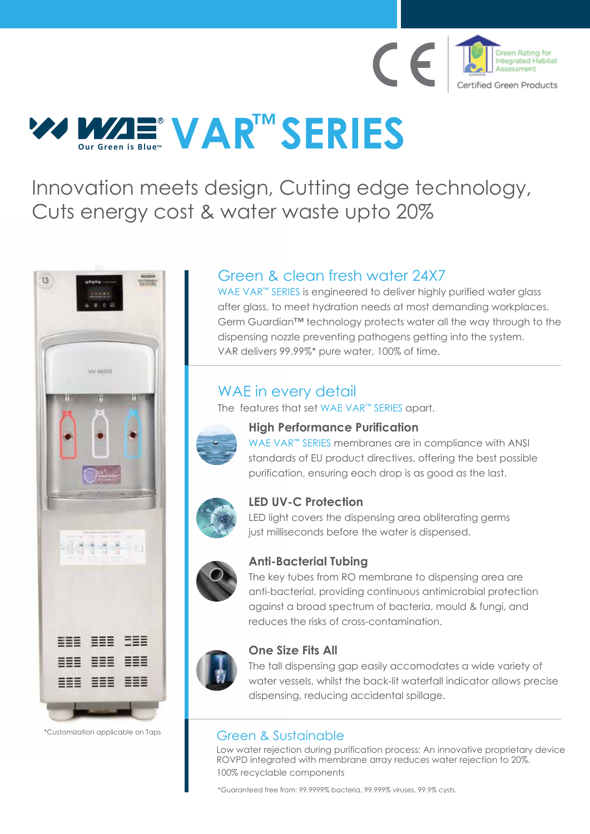

# **VAR<sup>TM</sup> SERIES R**

Innovation meets design, Cutting edge technology, Cuts energy cost & water waste upto 20%



\*Customization applicable on Taps

## Green & clean fresh water 24X7

WAE VAR<sup>™</sup> SERIES is engineered to deliver highly purified water glass after glass, to meet hydration needs at most demanding workplaces. Germ Guardian™ technology protects water all the way through to the dispensing nozzle preventing pathogens getting into the system. VAR delivers 99.99%\* pure water, 100% of time.

## WAE in every detail

The features that set WAE VAR™ SERIES apart.



## **High Performance Purification**

WAE VAR**™** SERIES membranes are in compliance with ANSI standards of EU product directives, offering the best possible purification, ensuring each drop is as good as the last.



## **LED UV-C Protection**

LED light covers the dispensing area obliterating germs just milliseconds before the water is dispensed.



### **Anti-Bacterial Tubing**

The key tubes from RO membrane to dispensing area are anti-bacterial, providing continuous antimicrobial protection against a broad spectrum of bacteria, mould & fungi, and reduces the risks of cross-contamination.



## **One Size Fits All**

The tall dispensing gap easily accomodates a wide variety of water vessels, whilst the back-lit waterfall indicator allows precise dispensing, reducing accidental spillage.

## Green & Sustainable

Low water rejection during purification process: An innovative proprietary device ROVPD integrated with membrane array reduces water rejection to 20%. 100% recyclable components

\*Guaranteed free from: 99.9999% bacteria, 99.999% viruses, 99.9% cysts.